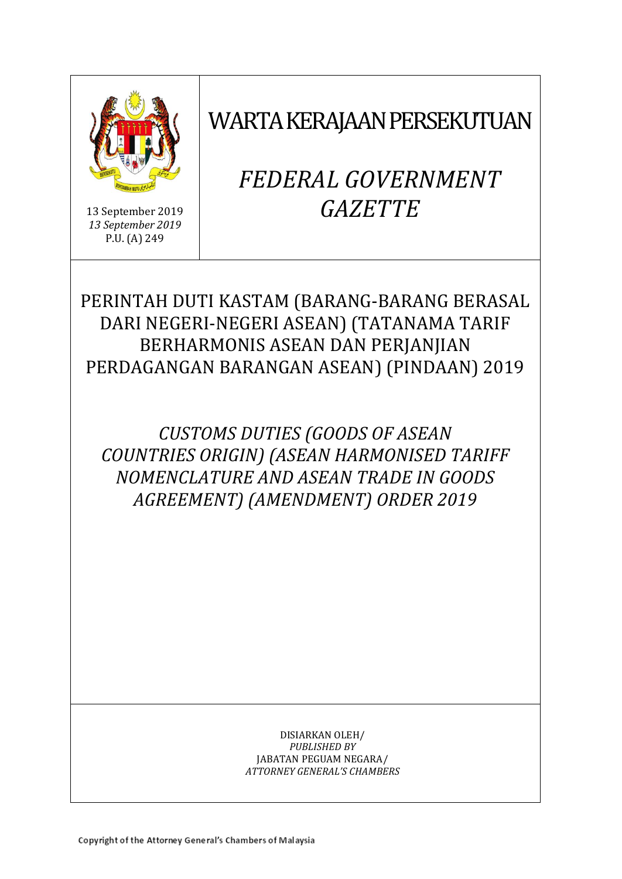

13 September 2019 *13 September 2019* P.U. (A) 249

# WARTA KERAJAAN PERSEKUTUAN

# *FEDERAL GOVERNMENT GAZETTE*

# PERINTAH DUTI KASTAM (BARANG-BARANG BERASAL DARI NEGERI-NEGERI ASEAN) (TATANAMA TARIF BERHARMONIS ASEAN DAN PERJANJIAN PERDAGANGAN BARANGAN ASEAN) (PINDAAN) 2019

*CUSTOMS DUTIES (GOODS OF ASEAN COUNTRIES ORIGIN) (ASEAN HARMONISED TARIFF NOMENCLATURE AND ASEAN TRADE IN GOODS AGREEMENT) (AMENDMENT) ORDER 2019*

> DISIARKAN OLEH/ *PUBLISHED BY* JABATAN PEGUAM NEGARA/ *ATTORNEY GENERAL'S CHAMBERS*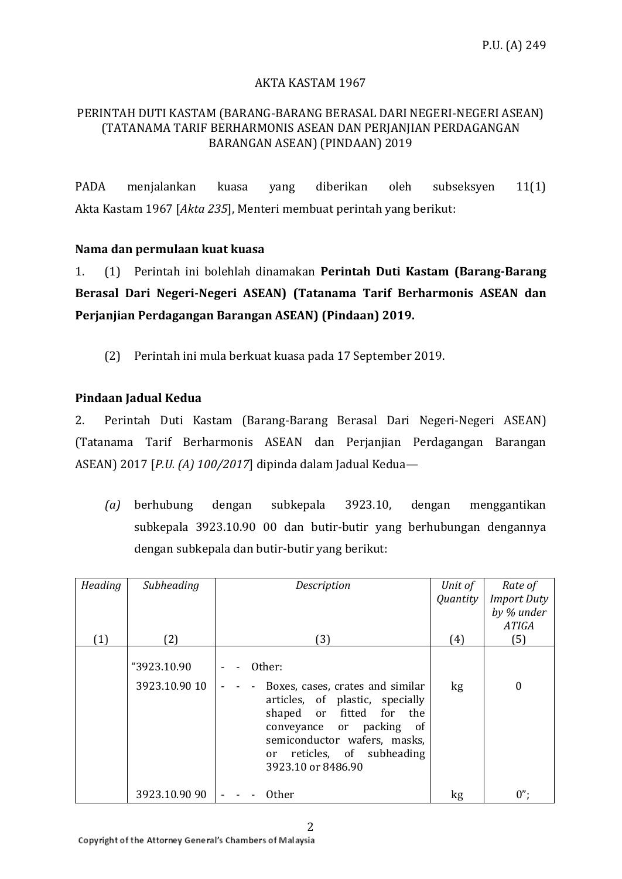# AKTA KASTAM 1967

### PERINTAH DUTI KASTAM (BARANG-BARANG BERASAL DARI NEGERI-NEGERI ASEAN) (TATANAMA TARIF BERHARMONIS ASEAN DAN PERJANJIAN PERDAGANGAN BARANGAN ASEAN) (PINDAAN) 2019

PADA menjalankan kuasa yang diberikan oleh subseksyen 11(1) Akta Kastam 1967 [*Akta 235*], Menteri membuat perintah yang berikut:

### **Nama dan permulaan kuat kuasa**

1. (1) Perintah ini bolehlah dinamakan **Perintah Duti Kastam (Barang-Barang Berasal Dari Negeri-Negeri ASEAN) (Tatanama Tarif Berharmonis ASEAN dan Perjanjian Perdagangan Barangan ASEAN) (Pindaan) 2019.**

(2) Perintah ini mula berkuat kuasa pada 17 September 2019.

# **Pindaan Jadual Kedua**

2. Perintah Duti Kastam (Barang-Barang Berasal Dari Negeri-Negeri ASEAN) (Tatanama Tarif Berharmonis ASEAN dan Perjanjian Perdagangan Barangan ASEAN) 2017 [*P.U. (A) 100/2017*] dipinda dalam Jadual Kedua—

*(a)* berhubung dengan subkepala 3923.10, dengan menggantikan subkepala 3923.10.90 00 dan butir-butir yang berhubungan dengannya dengan subkepala dan butir-butir yang berikut:

| Heading | Subheading    | Description                                                                                                                                                                                                           | Unit of<br>Quantity | Rate of<br><b>Import Duty</b><br>by % under |
|---------|---------------|-----------------------------------------------------------------------------------------------------------------------------------------------------------------------------------------------------------------------|---------------------|---------------------------------------------|
|         |               |                                                                                                                                                                                                                       |                     | <b>ATIGA</b>                                |
| (1)     | (2)           | (3)                                                                                                                                                                                                                   | (4)                 | (5)                                         |
|         | "3923.10.90   | Other:                                                                                                                                                                                                                |                     |                                             |
|         | 3923.10.90 10 | Boxes, cases, crates and similar<br>articles, of plastic, specially<br>shaped or fitted for<br>the<br>conveyance or packing<br>0f<br>semiconductor wafers, masks,<br>or reticles, of subheading<br>3923.10 or 8486.90 | kg                  | 0                                           |
|         | 3923.10.90 90 | <b>Other</b>                                                                                                                                                                                                          | kg                  | $0$ ";                                      |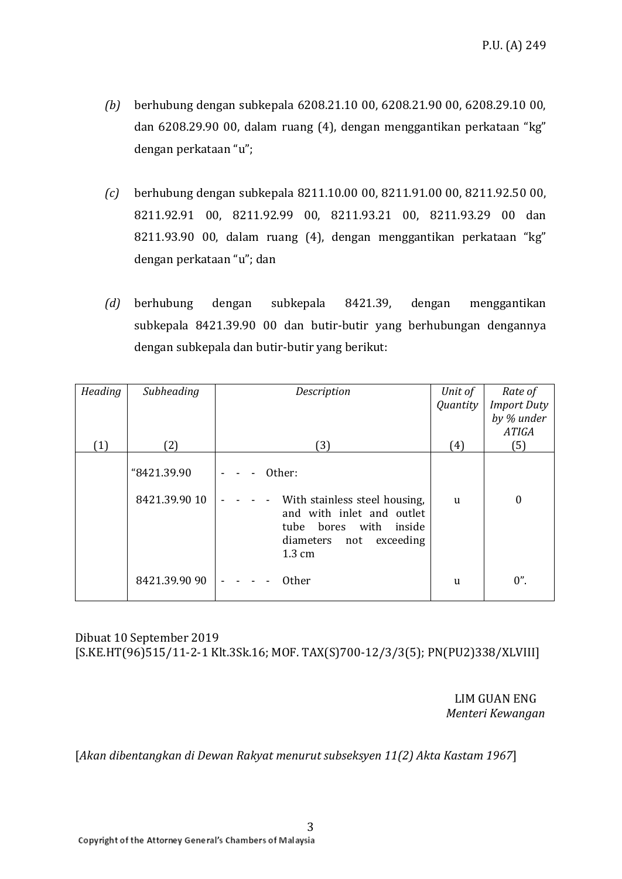- *(b)* berhubung dengan subkepala 6208.21.10 00, 6208.21.90 00, 6208.29.10 00, dan 6208.29.90 00, dalam ruang (4), dengan menggantikan perkataan "kg" dengan perkataan "u";
- *(c)* berhubung dengan subkepala 8211.10.00 00, 8211.91.00 00, 8211.92.50 00, 8211.92.91 00, 8211.92.99 00, 8211.93.21 00, 8211.93.29 00 dan 8211.93.90 00, dalam ruang (4), dengan menggantikan perkataan "kg" dengan perkataan "u"; dan
- *(d)* berhubung dengan subkepala 8421.39, dengan menggantikan subkepala 8421.39.90 00 dan butir-butir yang berhubungan dengannya dengan subkepala dan butir-butir yang berikut:

| Heading          | Subheading                   | Description                                                                                                                                   | Unit of      | Rate of            |
|------------------|------------------------------|-----------------------------------------------------------------------------------------------------------------------------------------------|--------------|--------------------|
|                  |                              |                                                                                                                                               | Quantity     | <b>Import Duty</b> |
|                  |                              |                                                                                                                                               |              | by % under         |
|                  |                              |                                                                                                                                               |              | <b>ATIGA</b>       |
| $\left(1\right)$ | (2)                          | (3)                                                                                                                                           | (4)          | (5)                |
|                  | "8421.39.90<br>8421.39.90 10 | Other:<br>With stainless steel housing,<br>and with inlet and outlet<br>tube bores with inside<br>diameters not exceeding<br>$1.3 \text{ cm}$ | <sub>u</sub> | $\boldsymbol{0}$   |
|                  | 8421.39.90 90                | <b>Other</b>                                                                                                                                  | u            | $0$ ".             |

# Dibuat 10 September 2019 [S.KE.HT(96)515/11-2-1 Klt.3Sk.16; MOF. TAX(S)700-12/3/3(5); PN(PU2)338/XLVIII]

LIM GUAN ENG *Menteri Kewangan* 

[*Akan dibentangkan di Dewan Rakyat menurut subseksyen 11(2) Akta Kastam 1967*]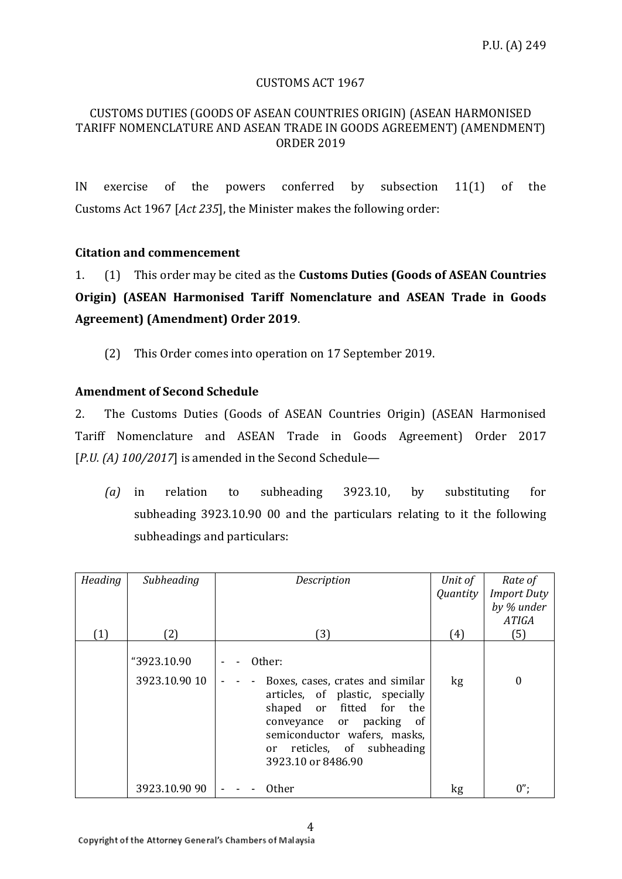#### CUSTOMS ACT 1967

#### CUSTOMS DUTIES (GOODS OF ASEAN COUNTRIES ORIGIN) (ASEAN HARMONISED TARIFF NOMENCLATURE AND ASEAN TRADE IN GOODS AGREEMENT) (AMENDMENT) ORDER 2019

IN exercise of the powers conferred by subsection 11(1) of the Customs Act 1967 [*Act 235*], the Minister makes the following order:

#### **Citation and commencement**

1. (1) This order may be cited as the **Customs Duties (Goods of ASEAN Countries Origin) (ASEAN Harmonised Tariff Nomenclature and ASEAN Trade in Goods Agreement) (Amendment) Order 2019**.

(2) This Order comes into operation on 17 September 2019.

### **Amendment of Second Schedule**

2. The Customs Duties (Goods of ASEAN Countries Origin) (ASEAN Harmonised Tariff Nomenclature and ASEAN Trade in Goods Agreement) Order 2017 [*P.U. (A) 100/2017*] is amended in the Second Schedule—

*(a)* in relation to subheading 3923.10, by substituting for subheading 3923.10.90 00 and the particulars relating to it the following subheadings and particulars:

| Heading | Subheading                   | Description                                                                                                                                                                                                               | Unit of  | Rate of            |
|---------|------------------------------|---------------------------------------------------------------------------------------------------------------------------------------------------------------------------------------------------------------------------|----------|--------------------|
|         |                              |                                                                                                                                                                                                                           | Quantity | <b>Import Duty</b> |
|         |                              |                                                                                                                                                                                                                           |          | by % under         |
|         |                              |                                                                                                                                                                                                                           |          | <b>ATIGA</b>       |
| (1)     | (2)                          | (3)                                                                                                                                                                                                                       | (4)      | $(5)$              |
|         | "3923.10.90<br>3923.10.90 10 | Other:<br>Boxes, cases, crates and similar<br>articles, of plastic, specially<br>shaped or fitted for the<br>conveyance or packing of<br>semiconductor wafers, masks,<br>or reticles, of subheading<br>3923.10 or 8486.90 | kg       | 0                  |
|         | 3923.10.90 90                | <b>Other</b>                                                                                                                                                                                                              | kg       | $0$ ";             |

4